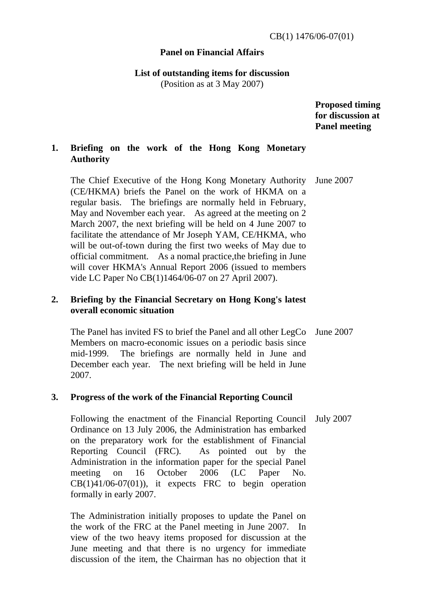## **Panel on Financial Affairs**

# **List of outstanding items for discussion**

(Position as at 3 May 2007)

 **Proposed timing for discussion at Panel meeting** 

## **1. Briefing on the work of the Hong Kong Monetary Authority**

 The Chief Executive of the Hong Kong Monetary Authority (CE/HKMA) briefs the Panel on the work of HKMA on a regular basis. The briefings are normally held in February, May and November each year. As agreed at the meeting on 2 March 2007, the next briefing will be held on 4 June 2007 to facilitate the attendance of Mr Joseph YAM, CE/HKMA, who will be out-of-town during the first two weeks of May due to official commitment. As a nomal practice,the briefing in June will cover HKMA's Annual Report 2006 (issued to members vide LC Paper No CB(1)1464/06-07 on 27 April 2007). June 2007

## **2. Briefing by the Financial Secretary on Hong Kong's latest overall economic situation**

 The Panel has invited FS to brief the Panel and all other LegCo Members on macro-economic issues on a periodic basis since mid-1999. The briefings are normally held in June and December each year. The next briefing will be held in June 2007. June 2007

## **3. Progress of the work of the Financial Reporting Council**

 Following the enactment of the Financial Reporting Council Ordinance on 13 July 2006, the Administration has embarked on the preparatory work for the establishment of Financial Reporting Council (FRC). As pointed out by the Administration in the information paper for the special Panel meeting on 16 October 2006 (LC Paper No.  $CB(1)41/06-07(01)$ , it expects FRC to begin operation formally in early 2007. July 2007

 The Administration initially proposes to update the Panel on the work of the FRC at the Panel meeting in June 2007. In view of the two heavy items proposed for discussion at the June meeting and that there is no urgency for immediate discussion of the item, the Chairman has no objection that it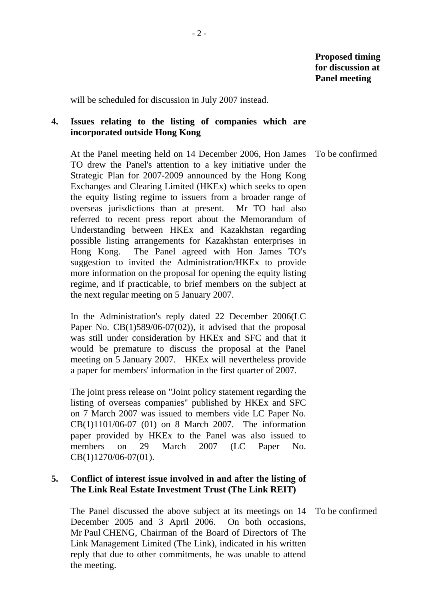will be scheduled for discussion in July 2007 instead.

## **4. Issues relating to the listing of companies which are incorporated outside Hong Kong**

 At the Panel meeting held on 14 December 2006, Hon James TO drew the Panel's attention to a key initiative under the Strategic Plan for 2007-2009 announced by the Hong Kong Exchanges and Clearing Limited (HKEx) which seeks to open the equity listing regime to issuers from a broader range of overseas jurisdictions than at present. Mr TO had also referred to recent press report about the Memorandum of Understanding between HKEx and Kazakhstan regarding possible listing arrangements for Kazakhstan enterprises in Hong Kong. The Panel agreed with Hon James TO's suggestion to invited the Administration/HKEx to provide more information on the proposal for opening the equity listing regime, and if practicable, to brief members on the subject at the next regular meeting on 5 January 2007. To be confirmed

 In the Administration's reply dated 22 December 2006(LC Paper No. CB(1)589/06-07(02)), it advised that the proposal was still under consideration by HKEx and SFC and that it would be premature to discuss the proposal at the Panel meeting on 5 January 2007. HKEx will nevertheless provide a paper for members' information in the first quarter of 2007.

 The joint press release on "Joint policy statement regarding the listing of overseas companies" published by HKEx and SFC on 7 March 2007 was issued to members vide LC Paper No. CB(1)1101/06-07 (01) on 8 March 2007. The information paper provided by HKEx to the Panel was also issued to members on 29 March 2007 (LC Paper No. CB(1)1270/06-07(01).

## **5. Conflict of interest issue involved in and after the listing of The Link Real Estate Investment Trust (The Link REIT)**

 The Panel discussed the above subject at its meetings on 14 December 2005 and 3 April 2006. On both occasions, Mr Paul CHENG, Chairman of the Board of Directors of The Link Management Limited (The Link), indicated in his written reply that due to other commitments, he was unable to attend the meeting.

To be confirmed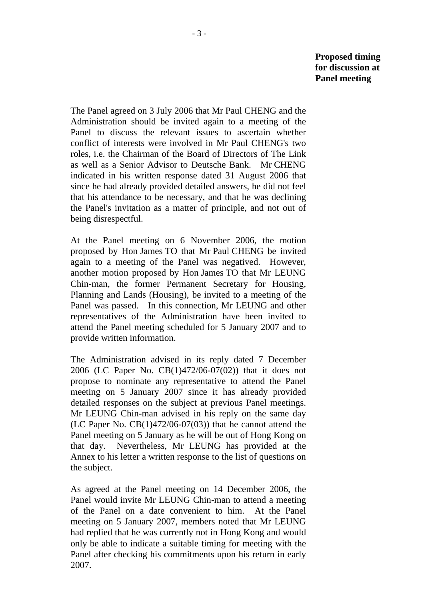The Panel agreed on 3 July 2006 that Mr Paul CHENG and the Administration should be invited again to a meeting of the Panel to discuss the relevant issues to ascertain whether conflict of interests were involved in Mr Paul CHENG's two roles, i.e. the Chairman of the Board of Directors of The Link as well as a Senior Advisor to Deutsche Bank. Mr CHENG indicated in his written response dated 31 August 2006 that since he had already provided detailed answers, he did not feel that his attendance to be necessary, and that he was declining the Panel's invitation as a matter of principle, and not out of being disrespectful.

 At the Panel meeting on 6 November 2006, the motion proposed by Hon James TO that Mr Paul CHENG be invited again to a meeting of the Panel was negatived. However, another motion proposed by Hon James TO that Mr LEUNG Chin-man, the former Permanent Secretary for Housing, Planning and Lands (Housing), be invited to a meeting of the Panel was passed. In this connection, Mr LEUNG and other representatives of the Administration have been invited to attend the Panel meeting scheduled for 5 January 2007 and to provide written information.

 The Administration advised in its reply dated 7 December 2006 (LC Paper No. CB(1)472/06-07(02)) that it does not propose to nominate any representative to attend the Panel meeting on 5 January 2007 since it has already provided detailed responses on the subject at previous Panel meetings. Mr LEUNG Chin-man advised in his reply on the same day (LC Paper No.  $CB(1)472/06-07(03)$ ) that he cannot attend the Panel meeting on 5 January as he will be out of Hong Kong on that day. Nevertheless, Mr LEUNG has provided at the Annex to his letter a written response to the list of questions on the subject.

 As agreed at the Panel meeting on 14 December 2006, the Panel would invite Mr LEUNG Chin-man to attend a meeting of the Panel on a date convenient to him. At the Panel meeting on 5 January 2007, members noted that Mr LEUNG had replied that he was currently not in Hong Kong and would only be able to indicate a suitable timing for meeting with the Panel after checking his commitments upon his return in early 2007.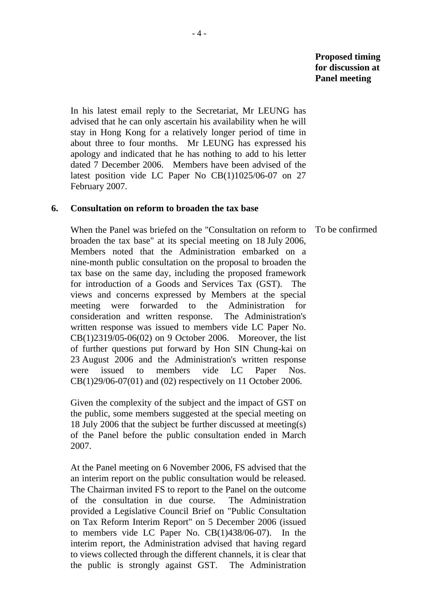In his latest email reply to the Secretariat, Mr LEUNG has advised that he can only ascertain his availability when he will stay in Hong Kong for a relatively longer period of time in about three to four months. Mr LEUNG has expressed his apology and indicated that he has nothing to add to his letter dated 7 December 2006. Members have been advised of the latest position vide LC Paper No CB(1)1025/06-07 on 27 February 2007.

#### **6. Consultation on reform to broaden the tax base**

 When the Panel was briefed on the "Consultation on reform to broaden the tax base" at its special meeting on 18 July 2006, Members noted that the Administration embarked on a nine-month public consultation on the proposal to broaden the tax base on the same day, including the proposed framework for introduction of a Goods and Services Tax (GST). The views and concerns expressed by Members at the special meeting were forwarded to the Administration for consideration and written response. The Administration's written response was issued to members vide LC Paper No. CB(1)2319/05-06(02) on 9 October 2006. Moreover, the list of further questions put forward by Hon SIN Chung-kai on 23 August 2006 and the Administration's written response were issued to members vide LC Paper Nos. CB(1)29/06-07(01) and (02) respectively on 11 October 2006.

 Given the complexity of the subject and the impact of GST on the public, some members suggested at the special meeting on 18 July 2006 that the subject be further discussed at meeting(s) of the Panel before the public consultation ended in March 2007.

 At the Panel meeting on 6 November 2006, FS advised that the an interim report on the public consultation would be released. The Chairman invited FS to report to the Panel on the outcome of the consultation in due course. The Administration provided a Legislative Council Brief on "Public Consultation on Tax Reform Interim Report" on 5 December 2006 (issued to members vide LC Paper No. CB(1)438/06-07). In the interim report, the Administration advised that having regard to views collected through the different channels, it is clear that the public is strongly against GST. The Administration

To be confirmed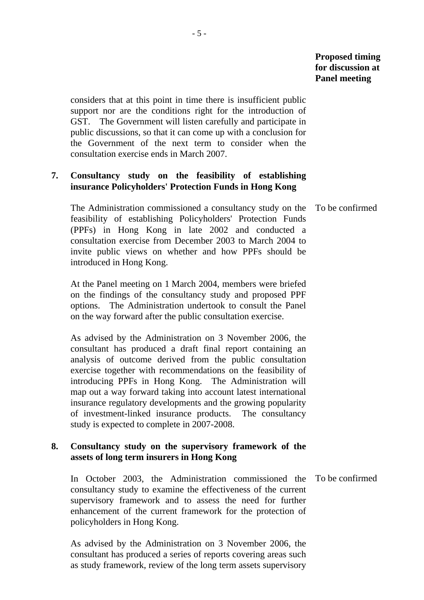considers that at this point in time there is insufficient public support nor are the conditions right for the introduction of GST. The Government will listen carefully and participate in public discussions, so that it can come up with a conclusion for the Government of the next term to consider when the consultation exercise ends in March 2007.

## **7. Consultancy study on the feasibility of establishing insurance Policyholders' Protection Funds in Hong Kong**

 The Administration commissioned a consultancy study on the feasibility of establishing Policyholders' Protection Funds (PPFs) in Hong Kong in late 2002 and conducted a consultation exercise from December 2003 to March 2004 to invite public views on whether and how PPFs should be introduced in Hong Kong. To be confirmed

 At the Panel meeting on 1 March 2004, members were briefed on the findings of the consultancy study and proposed PPF options. The Administration undertook to consult the Panel on the way forward after the public consultation exercise.

 As advised by the Administration on 3 November 2006, the consultant has produced a draft final report containing an analysis of outcome derived from the public consultation exercise together with recommendations on the feasibility of introducing PPFs in Hong Kong. The Administration will map out a way forward taking into account latest international insurance regulatory developments and the growing popularity of investment-linked insurance products. The consultancy study is expected to complete in 2007-2008.

## **8. Consultancy study on the supervisory framework of the assets of long term insurers in Hong Kong**

 In October 2003, the Administration commissioned the consultancy study to examine the effectiveness of the current supervisory framework and to assess the need for further enhancement of the current framework for the protection of policyholders in Hong Kong. To be confirmed

 As advised by the Administration on 3 November 2006, the consultant has produced a series of reports covering areas such as study framework, review of the long term assets supervisory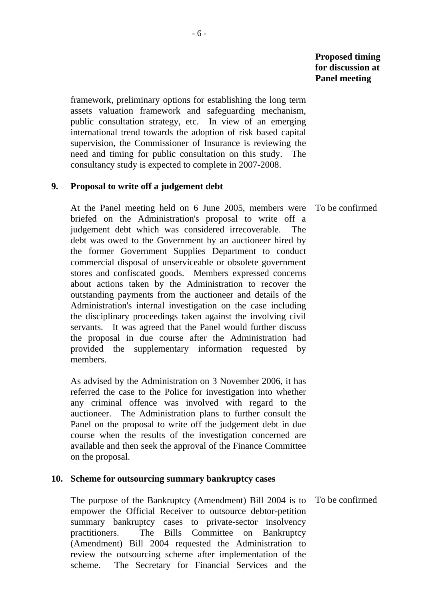framework, preliminary options for establishing the long term assets valuation framework and safeguarding mechanism, public consultation strategy, etc. In view of an emerging international trend towards the adoption of risk based capital supervision, the Commissioner of Insurance is reviewing the need and timing for public consultation on this study. The consultancy study is expected to complete in 2007-2008.

## **9. Proposal to write off a judgement debt**

 At the Panel meeting held on 6 June 2005, members were briefed on the Administration's proposal to write off a judgement debt which was considered irrecoverable. The debt was owed to the Government by an auctioneer hired by the former Government Supplies Department to conduct commercial disposal of unserviceable or obsolete government stores and confiscated goods. Members expressed concerns about actions taken by the Administration to recover the outstanding payments from the auctioneer and details of the Administration's internal investigation on the case including the disciplinary proceedings taken against the involving civil servants. It was agreed that the Panel would further discuss the proposal in due course after the Administration had provided the supplementary information requested by members.

 As advised by the Administration on 3 November 2006, it has referred the case to the Police for investigation into whether any criminal offence was involved with regard to the auctioneer. The Administration plans to further consult the Panel on the proposal to write off the judgement debt in due course when the results of the investigation concerned are available and then seek the approval of the Finance Committee on the proposal.

#### **10. Scheme for outsourcing summary bankruptcy cases**

 The purpose of the Bankruptcy (Amendment) Bill 2004 is to empower the Official Receiver to outsource debtor-petition summary bankruptcy cases to private-sector insolvency practitioners. The Bills Committee on Bankruptcy (Amendment) Bill 2004 requested the Administration to review the outsourcing scheme after implementation of the scheme. The Secretary for Financial Services and the

To be confirmed

To be confirmed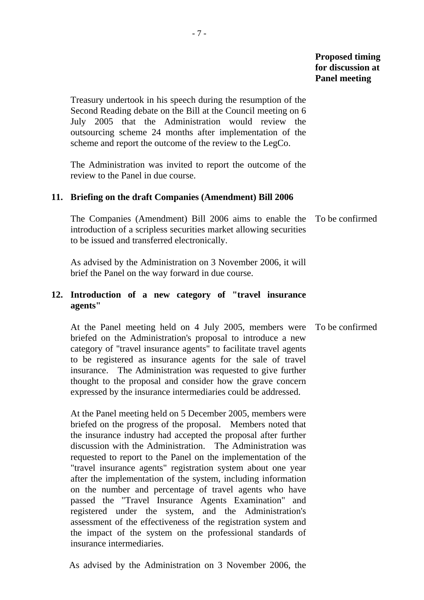Treasury undertook in his speech during the resumption of the Second Reading debate on the Bill at the Council meeting on 6 July 2005 that the Administration would review the outsourcing scheme 24 months after implementation of the scheme and report the outcome of the review to the LegCo.

 The Administration was invited to report the outcome of the review to the Panel in due course.

## **11. Briefing on the draft Companies (Amendment) Bill 2006**

 The Companies (Amendment) Bill 2006 aims to enable the introduction of a scripless securities market allowing securities to be issued and transferred electronically. To be confirmed

 As advised by the Administration on 3 November 2006, it will brief the Panel on the way forward in due course.

## **12. Introduction of a new category of "travel insurance agents"**

 At the Panel meeting held on 4 July 2005, members were briefed on the Administration's proposal to introduce a new category of "travel insurance agents" to facilitate travel agents to be registered as insurance agents for the sale of travel insurance. The Administration was requested to give further thought to the proposal and consider how the grave concern expressed by the insurance intermediaries could be addressed. To be confirmed

 At the Panel meeting held on 5 December 2005, members were briefed on the progress of the proposal. Members noted that the insurance industry had accepted the proposal after further discussion with the Administration. The Administration was requested to report to the Panel on the implementation of the "travel insurance agents" registration system about one year after the implementation of the system, including information on the number and percentage of travel agents who have passed the "Travel Insurance Agents Examination" and registered under the system, and the Administration's assessment of the effectiveness of the registration system and the impact of the system on the professional standards of insurance intermediaries.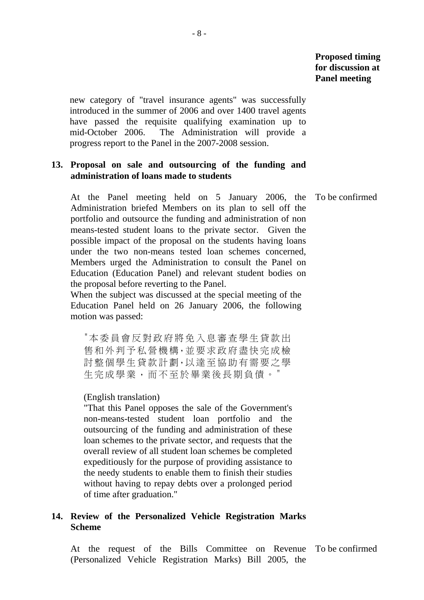new category of "travel insurance agents" was successfully introduced in the summer of 2006 and over 1400 travel agents have passed the requisite qualifying examination up to mid-October 2006. The Administration will provide a progress report to the Panel in the 2007-2008 session.

## **13. Proposal on sale and outsourcing of the funding and administration of loans made to students**

 At the Panel meeting held on 5 January 2006, the To be confirmed Administration briefed Members on its plan to sell off the portfolio and outsource the funding and administration of non means-tested student loans to the private sector. Given the possible impact of the proposal on the students having loans under the two non-means tested loan schemes concerned, Members urged the Administration to consult the Panel on Education (Education Panel) and relevant student bodies on the proposal before reverting to the Panel.

 When the subject was discussed at the special meeting of the Education Panel held on 26 January 2006, the following motion was passed:

"本委員會反對政府將免入息審查學生貸款出 售和外判予私營機構,並要求政府盡快完成檢 討整個學生貸款計劃,以達至協助有需要之學 生完成學業,而不至於畢業後長期負債。"

#### (English translation)

"That this Panel opposes the sale of the Government's non-means-tested student loan portfolio and the outsourcing of the funding and administration of these loan schemes to the private sector, and requests that the overall review of all student loan schemes be completed expeditiously for the purpose of providing assistance to the needy students to enable them to finish their studies without having to repay debts over a prolonged period of time after graduation."

#### **14. Review of the Personalized Vehicle Registration Marks Scheme**

 At the request of the Bills Committee on Revenue To be confirmed (Personalized Vehicle Registration Marks) Bill 2005, the